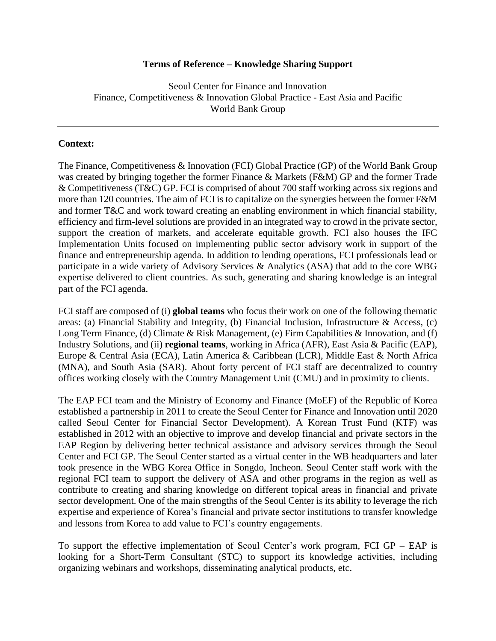#### **Terms of Reference – Knowledge Sharing Support**

Seoul Center for Finance and Innovation Finance, Competitiveness & Innovation Global Practice - East Asia and Pacific World Bank Group

#### **Context:**

The Finance, Competitiveness & Innovation (FCI) Global Practice (GP) of the World Bank Group was created by bringing together the former Finance & Markets (F&M) GP and the former Trade & Competitiveness (T&C) GP. FCI is comprised of about 700 staff working across six regions and more than 120 countries. The aim of FCI is to capitalize on the synergies between the former F&M and former T&C and work toward creating an enabling environment in which financial stability, efficiency and firm-level solutions are provided in an integrated way to crowd in the private sector, support the creation of markets, and accelerate equitable growth. FCI also houses the IFC Implementation Units focused on implementing public sector advisory work in support of the finance and entrepreneurship agenda. In addition to lending operations, FCI professionals lead or participate in a wide variety of Advisory Services & Analytics (ASA) that add to the core WBG expertise delivered to client countries. As such, generating and sharing knowledge is an integral part of the FCI agenda.

FCI staff are composed of (i) **global teams** who focus their work on one of the following thematic areas: (a) Financial Stability and Integrity, (b) Financial Inclusion, Infrastructure & Access, (c) Long Term Finance, (d) Climate & Risk Management, (e) Firm Capabilities & Innovation, and (f) Industry Solutions, and (ii) **regional teams**, working in Africa (AFR), East Asia & Pacific (EAP), Europe & Central Asia (ECA), Latin America & Caribbean (LCR), Middle East & North Africa (MNA), and South Asia (SAR). About forty percent of FCI staff are decentralized to country offices working closely with the Country Management Unit (CMU) and in proximity to clients.

The EAP FCI team and the Ministry of Economy and Finance (MoEF) of the Republic of Korea established a partnership in 2011 to create the Seoul Center for Finance and Innovation until 2020 called Seoul Center for Financial Sector Development). A Korean Trust Fund (KTF) was established in 2012 with an objective to improve and develop financial and private sectors in the EAP Region by delivering better technical assistance and advisory services through the Seoul Center and FCI GP. The Seoul Center started as a virtual center in the WB headquarters and later took presence in the WBG Korea Office in Songdo, Incheon. Seoul Center staff work with the regional FCI team to support the delivery of ASA and other programs in the region as well as contribute to creating and sharing knowledge on different topical areas in financial and private sector development. One of the main strengths of the Seoul Center is its ability to leverage the rich expertise and experience of Korea's financial and private sector institutions to transfer knowledge and lessons from Korea to add value to FCI's country engagements.

To support the effective implementation of Seoul Center's work program, FCI GP – EAP is looking for a Short-Term Consultant (STC) to support its knowledge activities, including organizing webinars and workshops, disseminating analytical products, etc.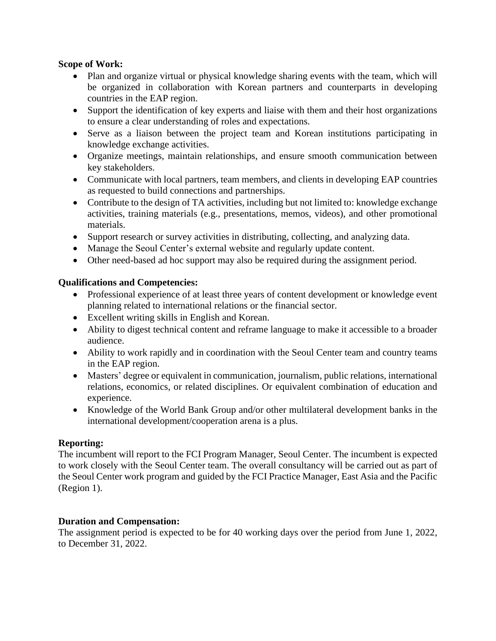### **Scope of Work:**

- Plan and organize virtual or physical knowledge sharing events with the team, which will be organized in collaboration with Korean partners and counterparts in developing countries in the EAP region.
- Support the identification of key experts and liaise with them and their host organizations to ensure a clear understanding of roles and expectations.
- Serve as a liaison between the project team and Korean institutions participating in knowledge exchange activities.
- Organize meetings, maintain relationships, and ensure smooth communication between key stakeholders.
- Communicate with local partners, team members, and clients in developing EAP countries as requested to build connections and partnerships.
- Contribute to the design of TA activities, including but not limited to: knowledge exchange activities, training materials (e.g., presentations, memos, videos), and other promotional materials.
- Support research or survey activities in distributing, collecting, and analyzing data.
- Manage the Seoul Center's external website and regularly update content.
- Other need-based ad hoc support may also be required during the assignment period.

## **Qualifications and Competencies:**

- Professional experience of at least three years of content development or knowledge event planning related to international relations or the financial sector.
- Excellent writing skills in English and Korean.
- Ability to digest technical content and reframe language to make it accessible to a broader audience.
- Ability to work rapidly and in coordination with the Seoul Center team and country teams in the EAP region.
- Masters' degree or equivalent in communication, journalism, public relations, international relations, economics, or related disciplines. Or equivalent combination of education and experience.
- Knowledge of the World Bank Group and/or other multilateral development banks in the international development/cooperation arena is a plus.

## **Reporting:**

The incumbent will report to the FCI Program Manager, Seoul Center. The incumbent is expected to work closely with the Seoul Center team. The overall consultancy will be carried out as part of the Seoul Center work program and guided by the FCI Practice Manager, East Asia and the Pacific (Region 1).

#### **Duration and Compensation:**

The assignment period is expected to be for 40 working days over the period from June 1, 2022, to December 31, 2022.